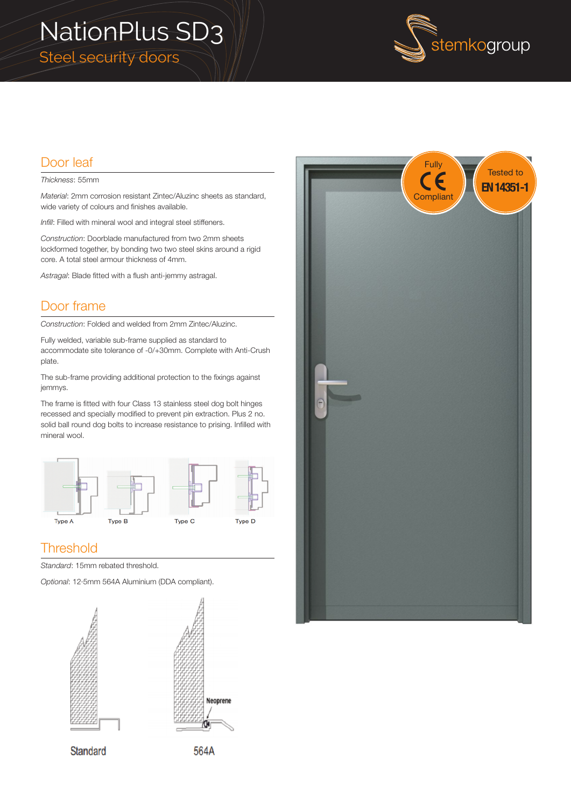# NationPlus SD3 Steel security doors



### Door leaf

#### *Thickness*: 55mm

*Material*: 2mm corrosion resistant Zintec/Aluzinc sheets as standard, wide variety of colours and finishes available.

*Infill*: Filled with mineral wool and integral steel stiffeners.

*Construction*: Doorblade manufactured from two 2mm sheets lockformed together, by bonding two two steel skins around a rigid core. A total steel armour thickness of 4mm.

*Astragal*: Blade fitted with a flush anti-jemmy astragal.

### Door frame

*Construction*: Folded and welded from 2mm Zintec/Aluzinc.

Fully welded, variable sub-frame supplied as standard to accommodate site tolerance of -0/+30mm. Complete with Anti-Crush plate.

The sub-frame providing additional protection to the fixings against jemmys.

The frame is fitted with four Class 13 stainless steel dog bolt hinges recessed and specially modified to prevent pin extraction. Plus 2 no. solid ball round dog bolts to increase resistance to prising. Infilled with mineral wool.



### **Threshold**

*Standard*: 15mm rebated threshold.

*Optional*: 12·5mm 564A Aluminium (DDA compliant).